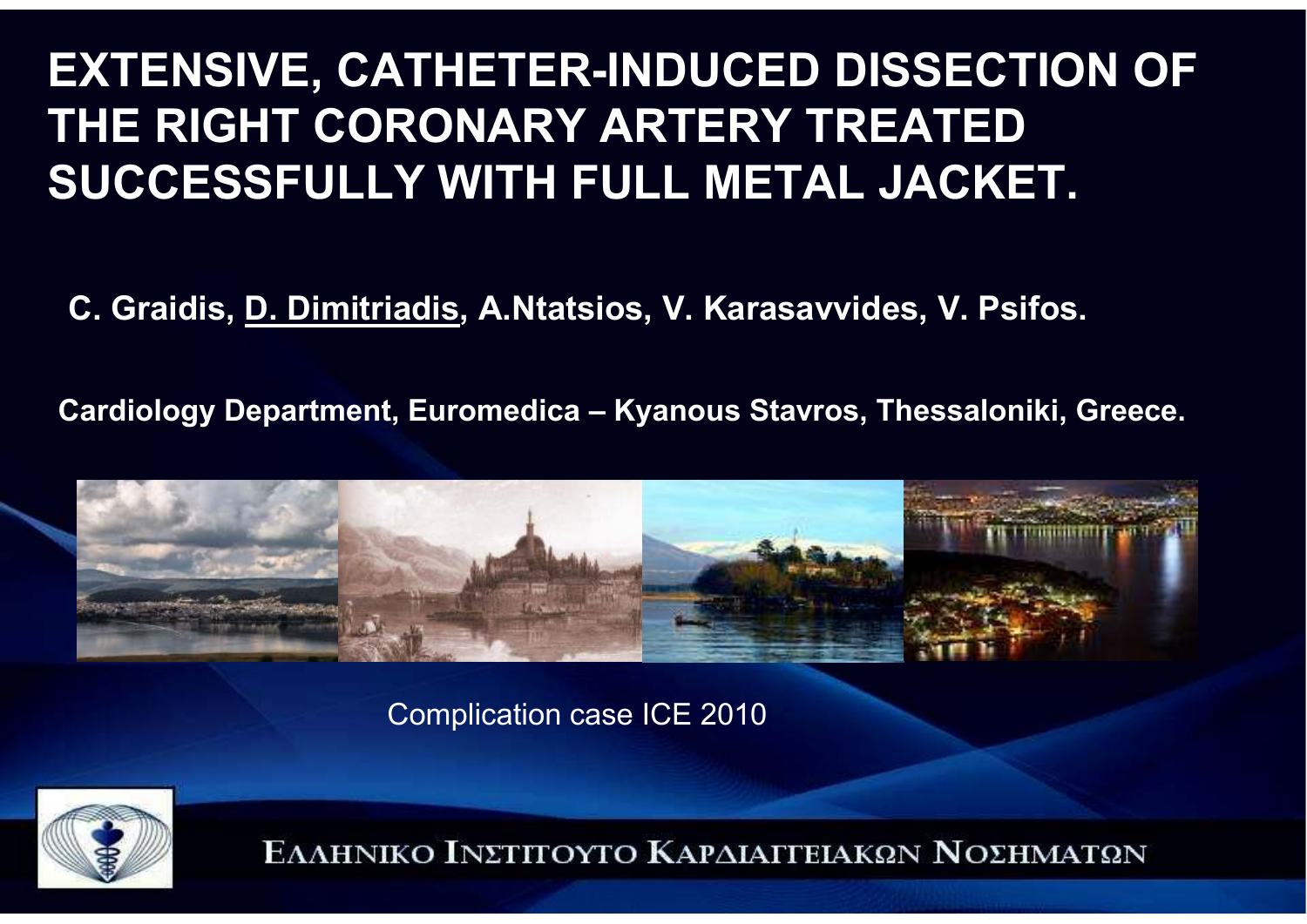### **EXTENSIVE, CATHETER-INDUCED DISSECTION OF THE RIGHT CORONARY ARTERY TREATED SUCCESSFULLY WITH FULL METAL JACKET.**

**C. Graidis, D. Dimitriadis, A.Ntatsios, V. Karasavvides, V. Psifos.**

**Cardiology Department, Euromedica – Kyanous Stavros, Thessaloniki, Greece.**



Complication case ICE 2010

![](_page_0_Picture_5.jpeg)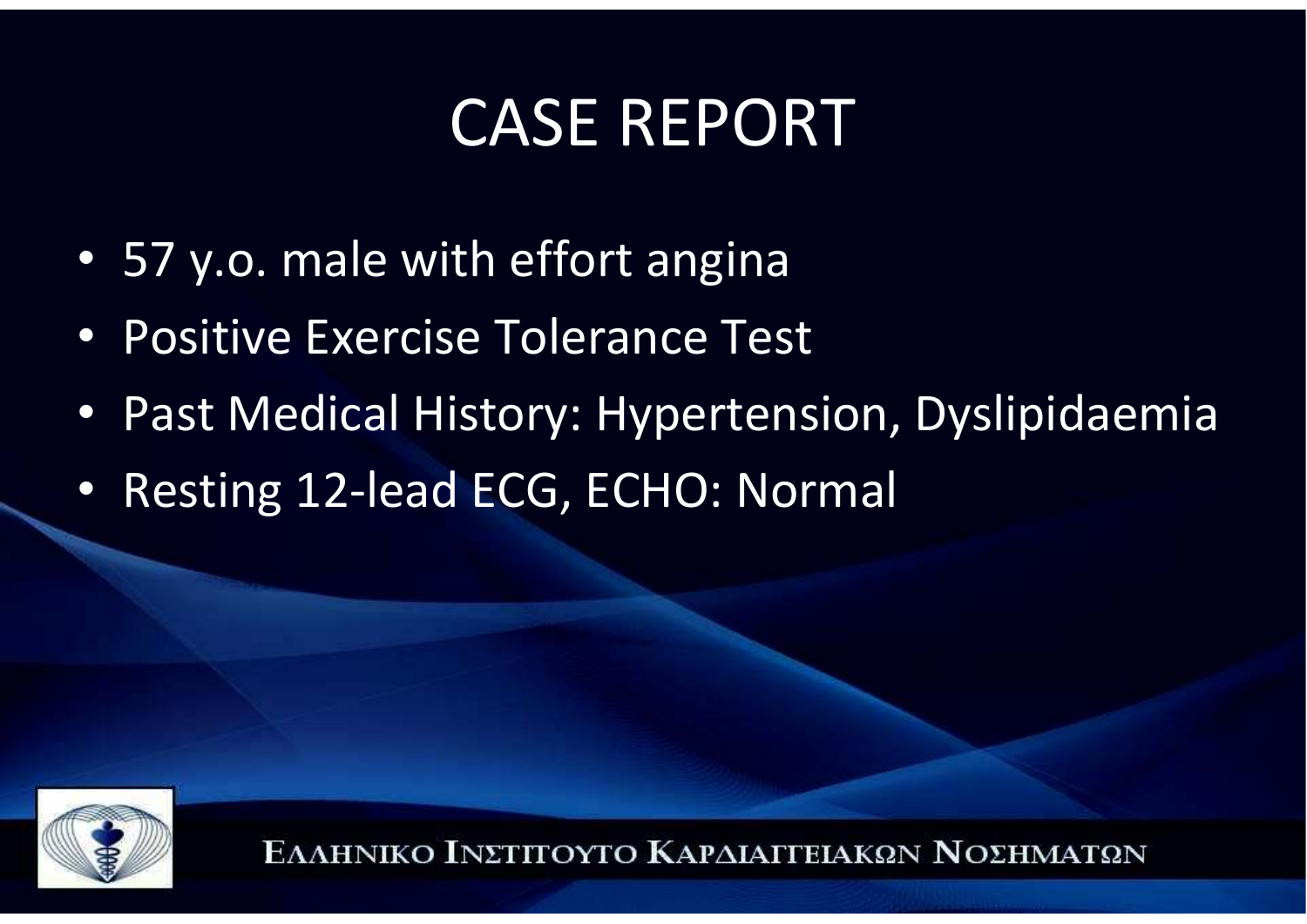## CASE REPORT

- 57 y.o. male with effort angina
- Positive Exercise Tolerance Test
- Past Medical History: Hypertension, Dyslipidaemia
- Resting 12-lead ECG, ECHO: Normal

![](_page_1_Picture_5.jpeg)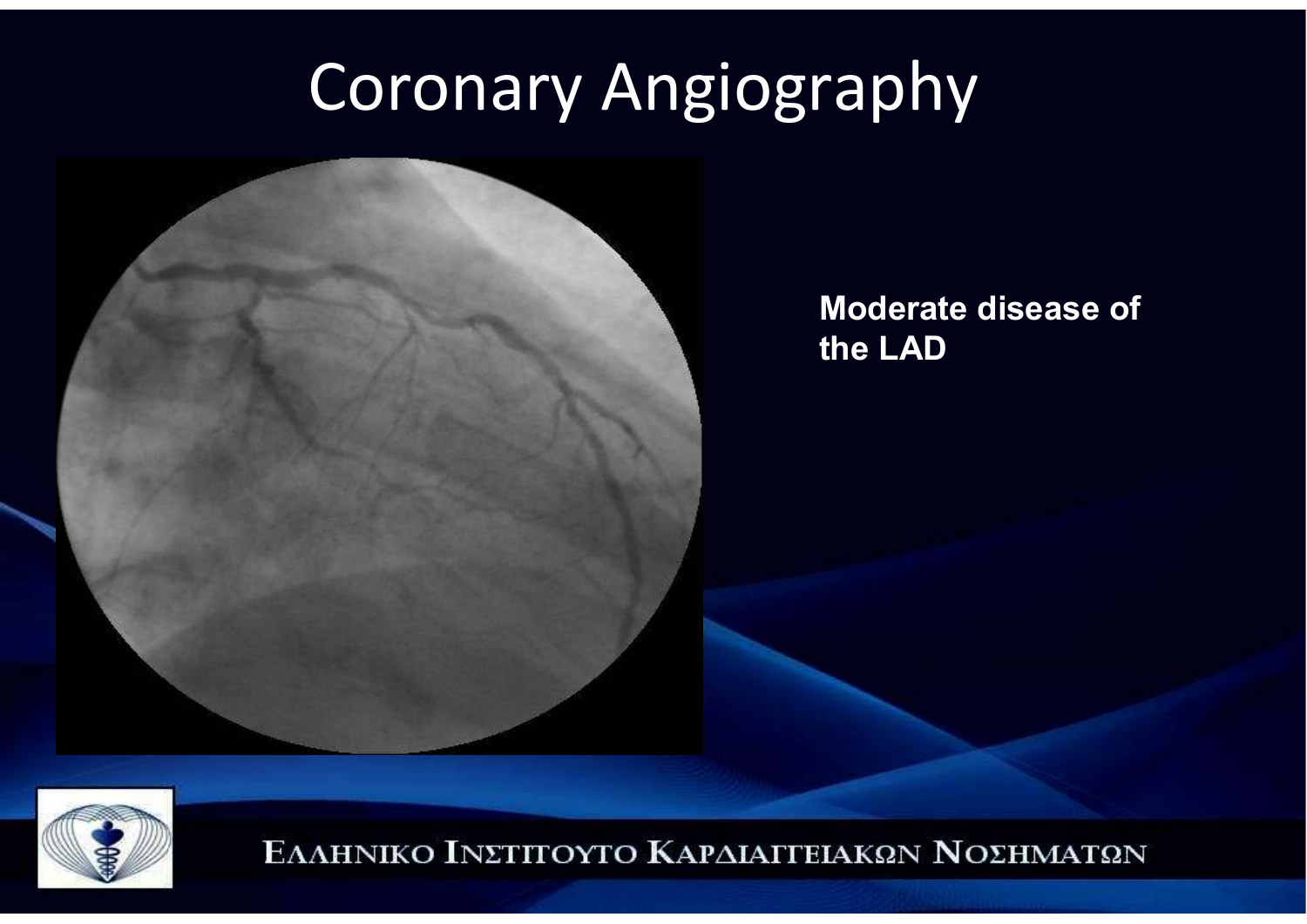## Coronary Angiography

![](_page_2_Picture_1.jpeg)

**Moderate disease of the LAD**

![](_page_2_Picture_3.jpeg)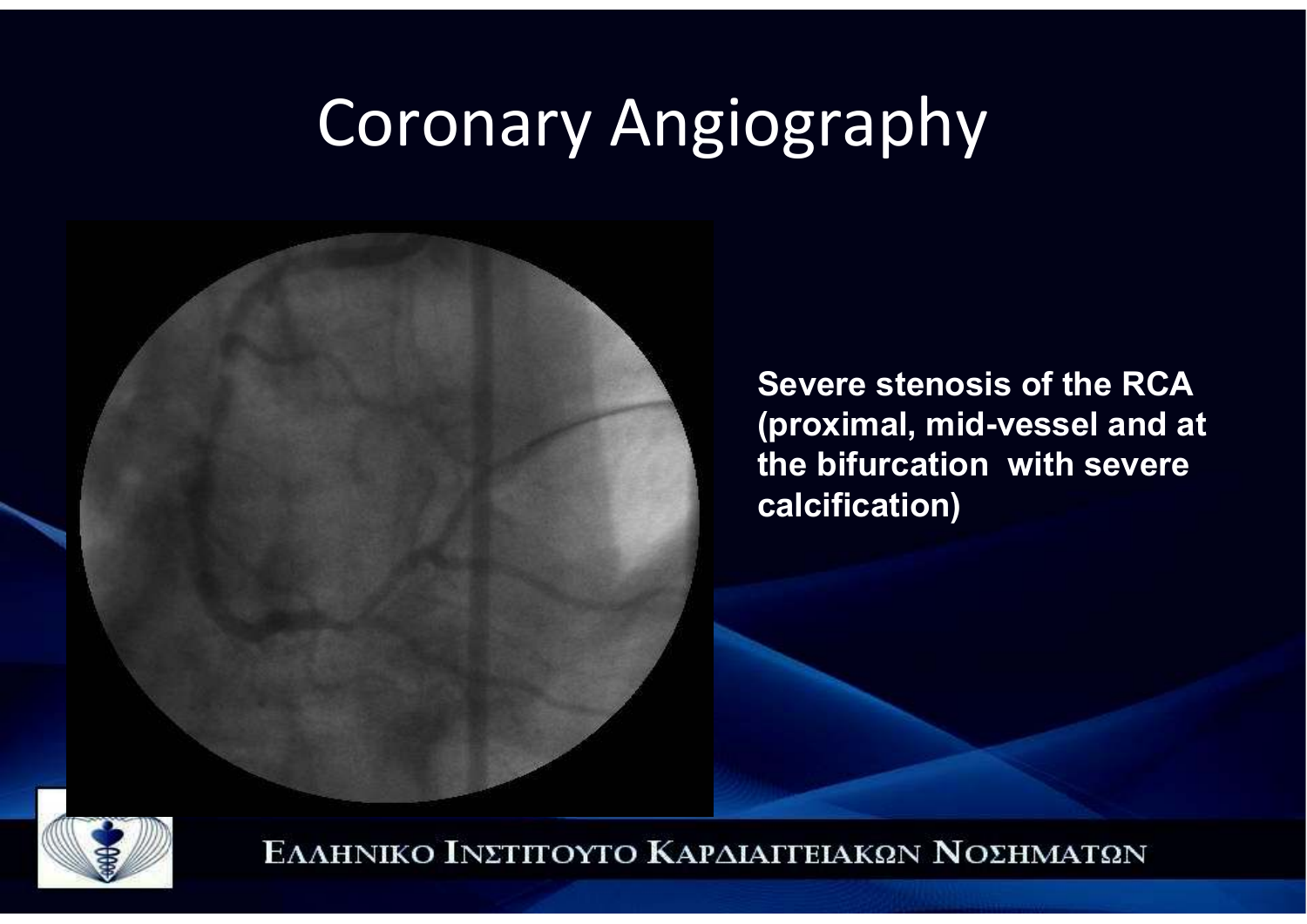### Coronary Angiography

![](_page_3_Picture_1.jpeg)

**Severe stenosis of the RCA (proximal, mid-vessel and at the bifurcation with severe calcification)**

![](_page_3_Picture_3.jpeg)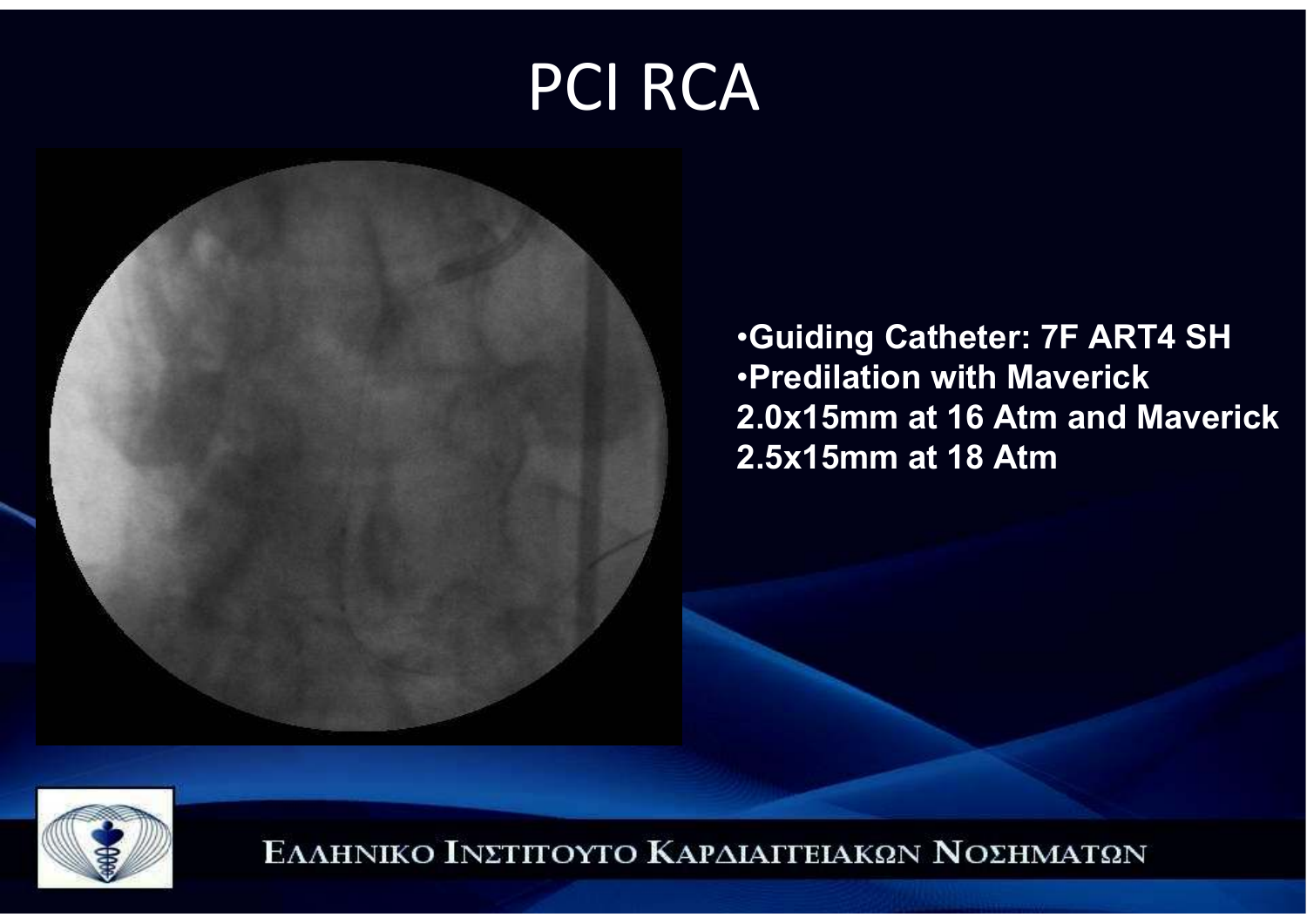## PCI RCA

![](_page_4_Picture_1.jpeg)

•**Guiding Catheter: 7F ART4 SH**•**Predilation with Maverick 2.0x15mm at 16 Atm and Maverick 2.5x15mm at 18 Atm**

![](_page_4_Picture_3.jpeg)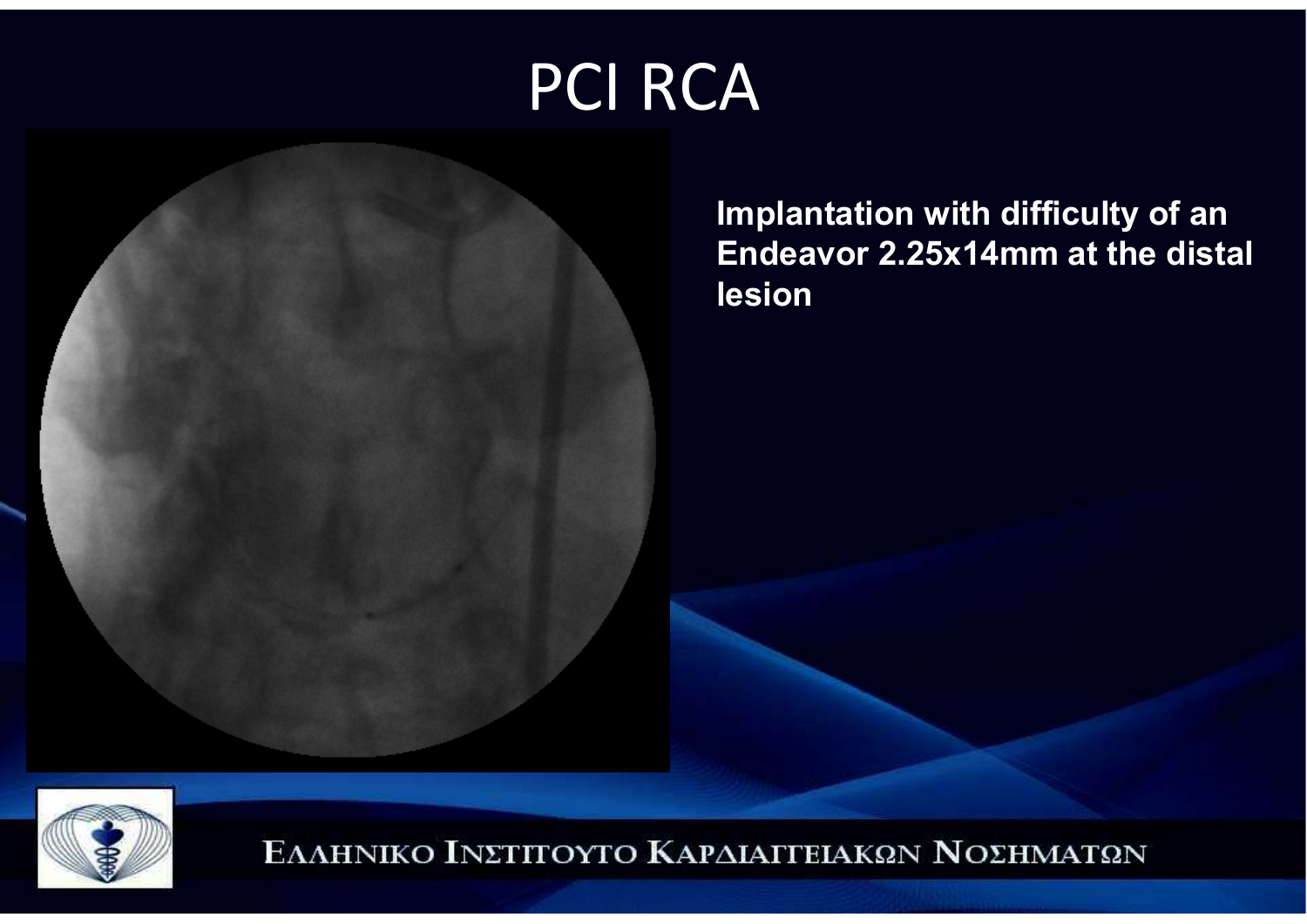# PCI RCA

![](_page_5_Picture_1.jpeg)

**Implantation with difficulty of an Endeavor 2.25x14mm at the distal lesion**

![](_page_5_Picture_3.jpeg)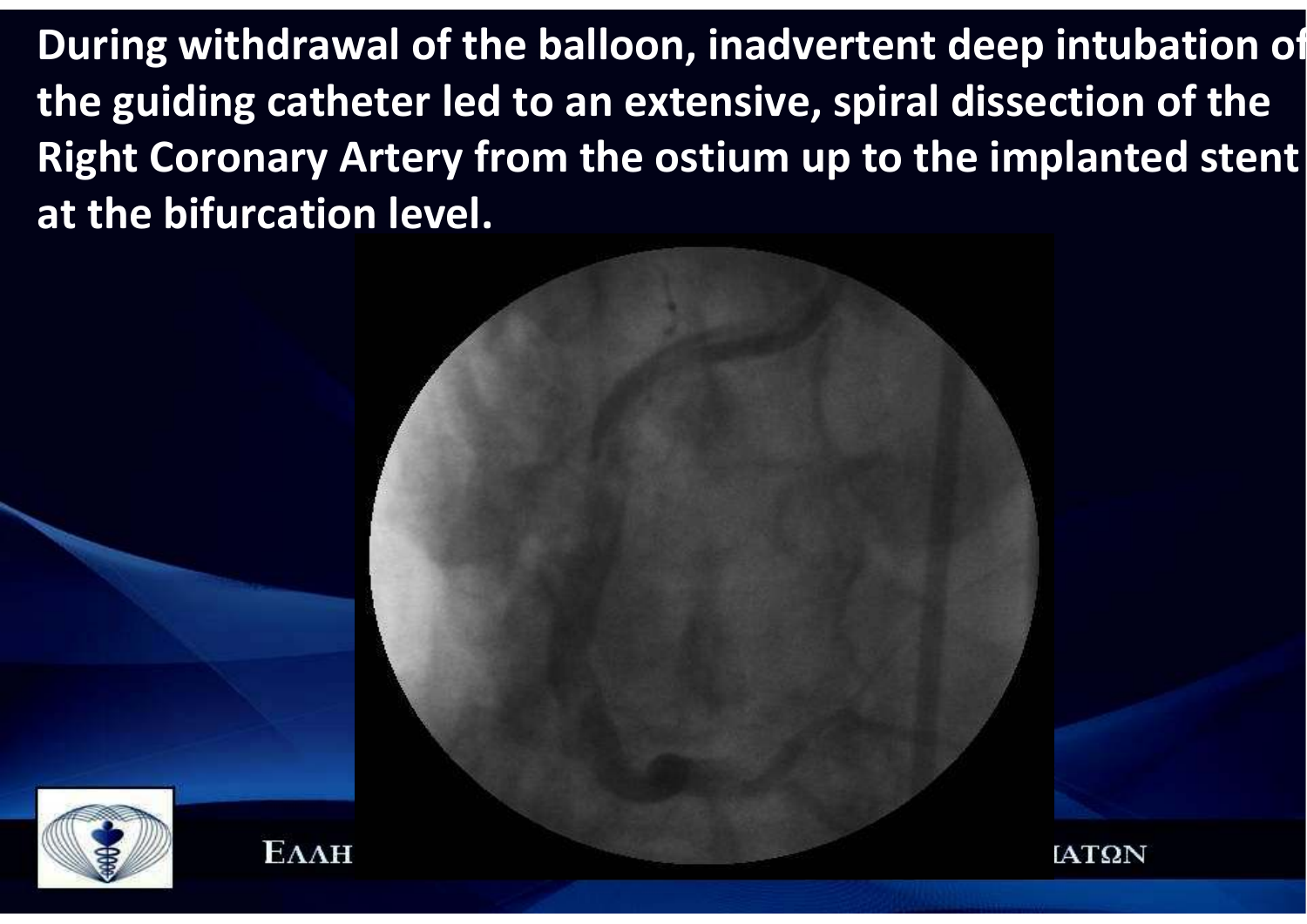**During withdrawal of the balloon, inadvertent deep intubation ofthe guiding catheter led to an extensive, spiral dissection of the Right Coronary Artery from the ostium up to the implanted stent at the bifurcation level.**

![](_page_6_Picture_1.jpeg)

![](_page_6_Picture_2.jpeg)

![](_page_6_Picture_4.jpeg)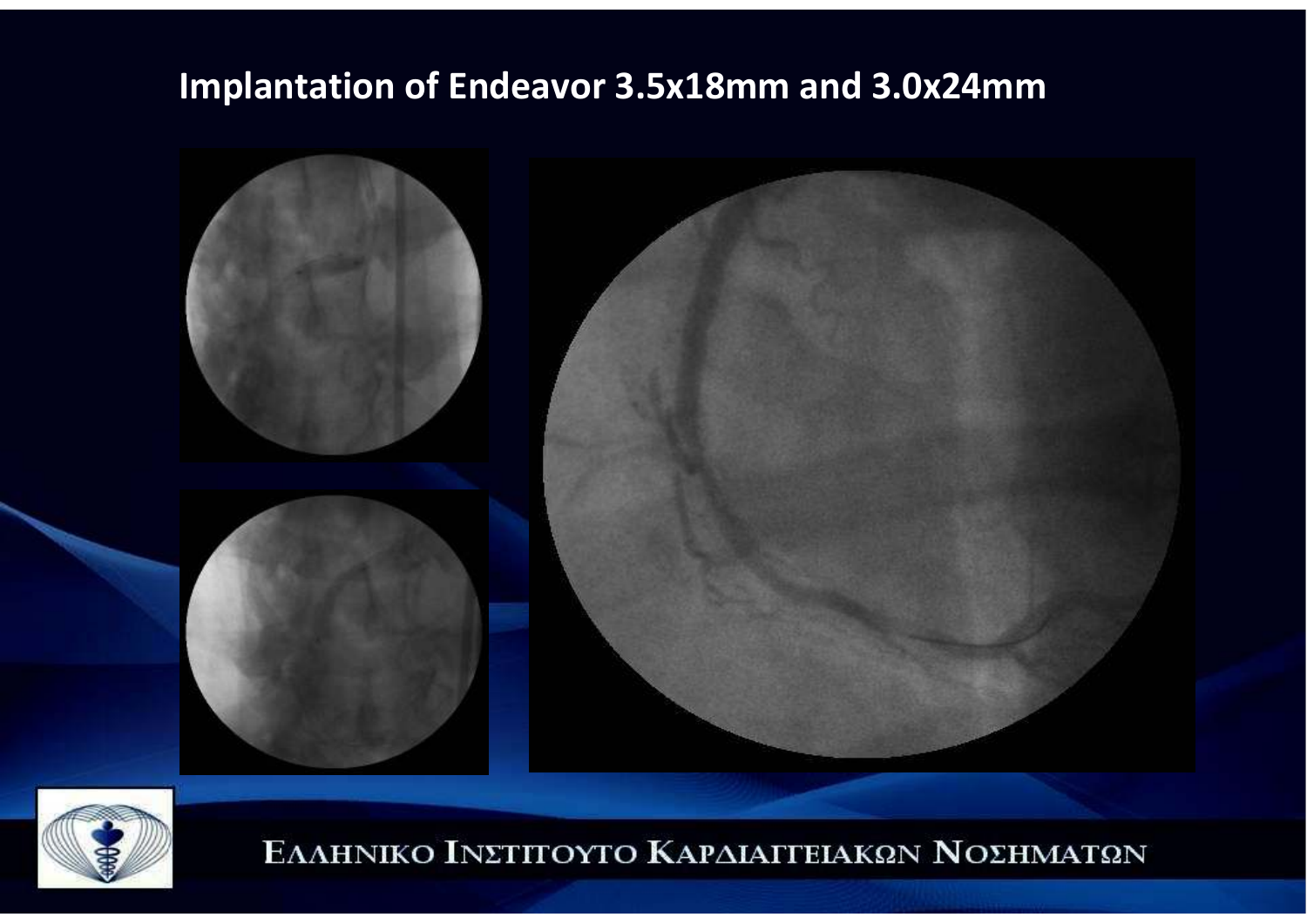#### **Implantation of Endeavor 3.5x18mm and 3.0x24mm**

![](_page_7_Picture_1.jpeg)

![](_page_7_Picture_2.jpeg)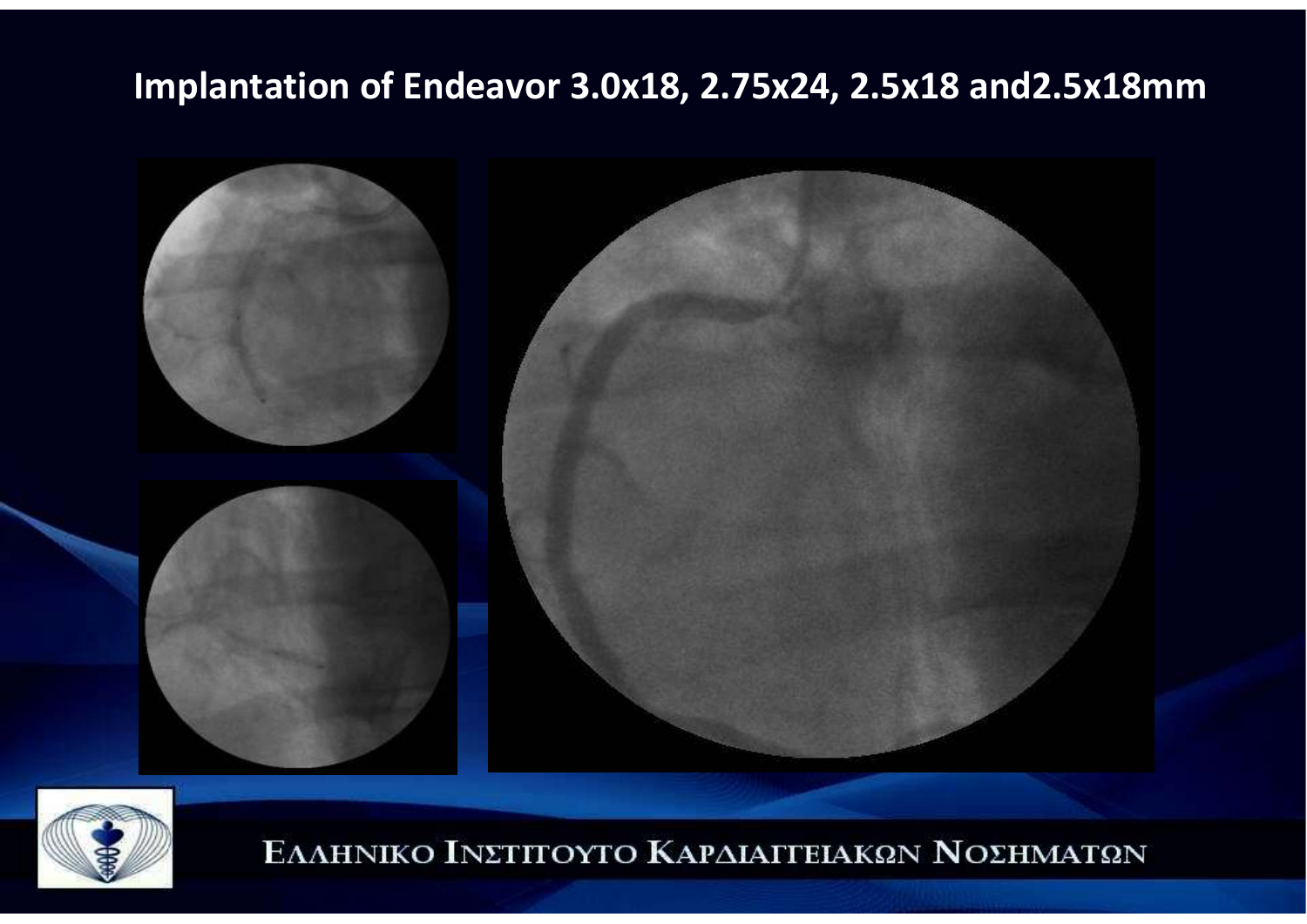#### **Implantation of Endeavor 3.0x18, 2.75x24, 2.5x18 and2.5x18mm**

![](_page_8_Picture_1.jpeg)

![](_page_8_Picture_2.jpeg)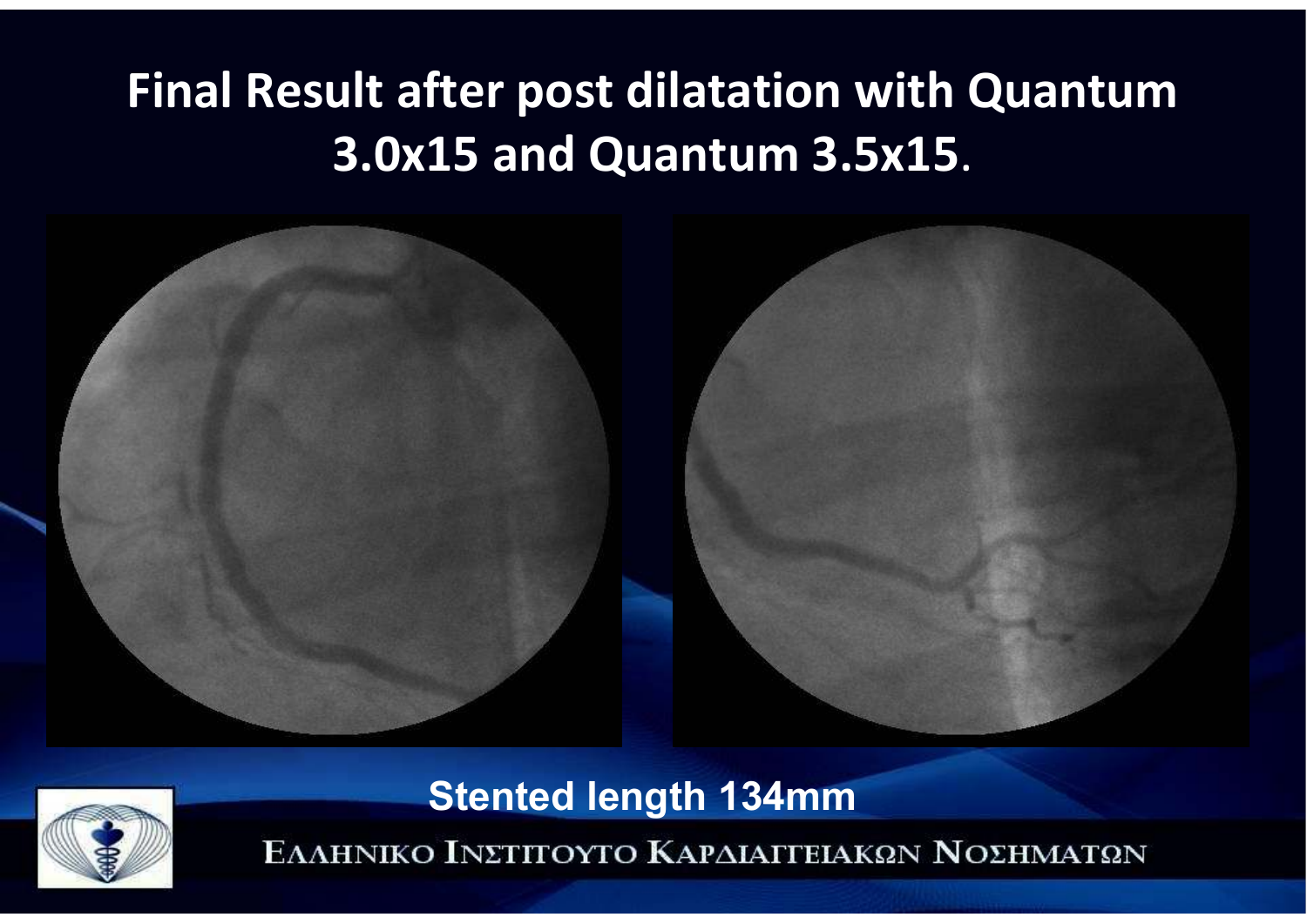### **Final Result after post dilatation with Quantum 3.0x15 and Quantum 3.5x15**.

![](_page_9_Picture_1.jpeg)

![](_page_9_Picture_2.jpeg)

**Stented length 134mm**<br>ΕΛΛΗΝΙΚΟ ΙΝΣΤΙΤΟΥΤΟ ΚΑΡΔΙΑΓΓΕΙΑΚΩΝ ΝΟΣΗΜΑΤΩΝ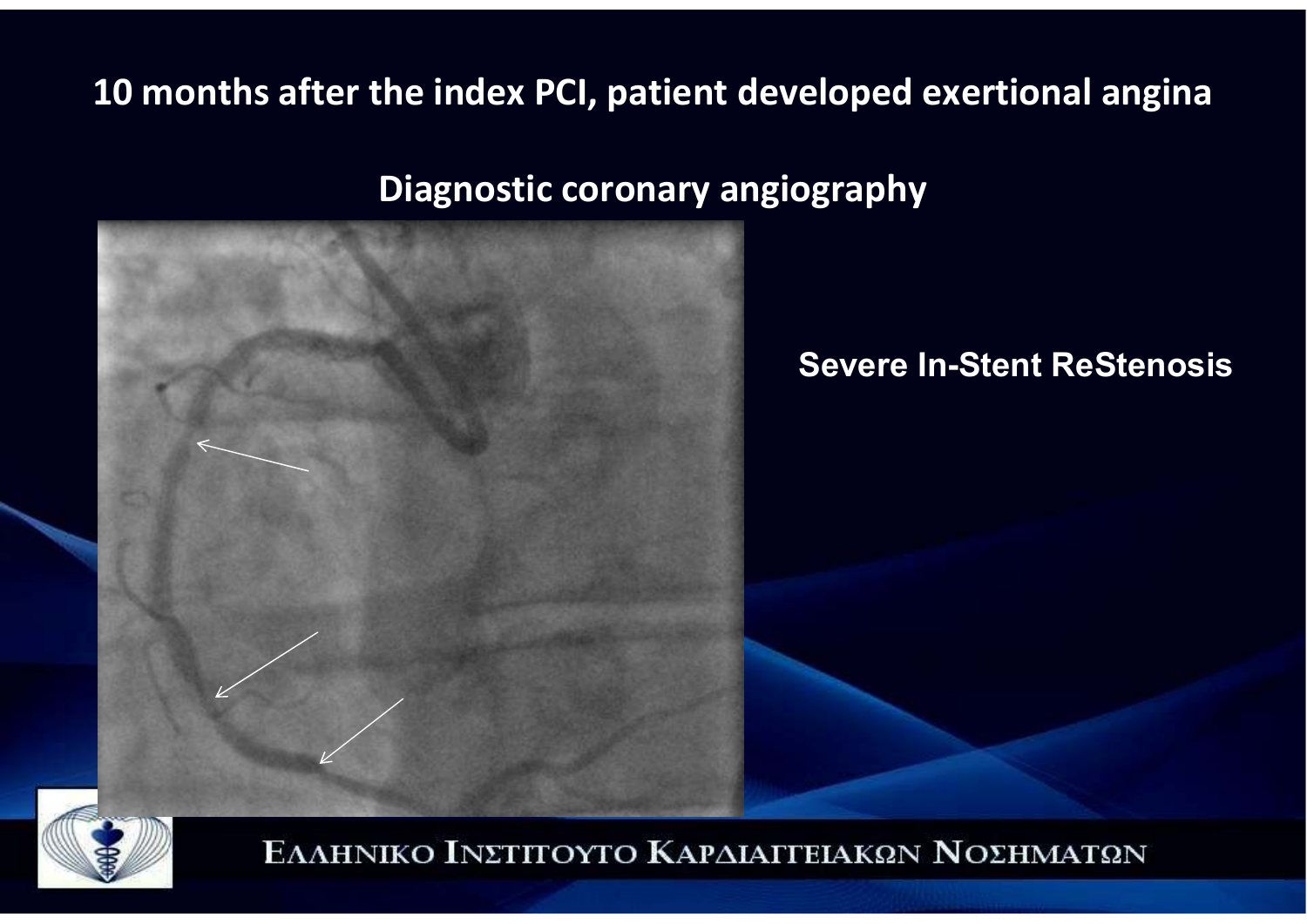#### **10 months after the index PCI, patient developed exertional angina**

**Diagnostic coronary angiography**

![](_page_10_Picture_2.jpeg)

#### **Severe In-Stent ReStenosis**

![](_page_10_Picture_4.jpeg)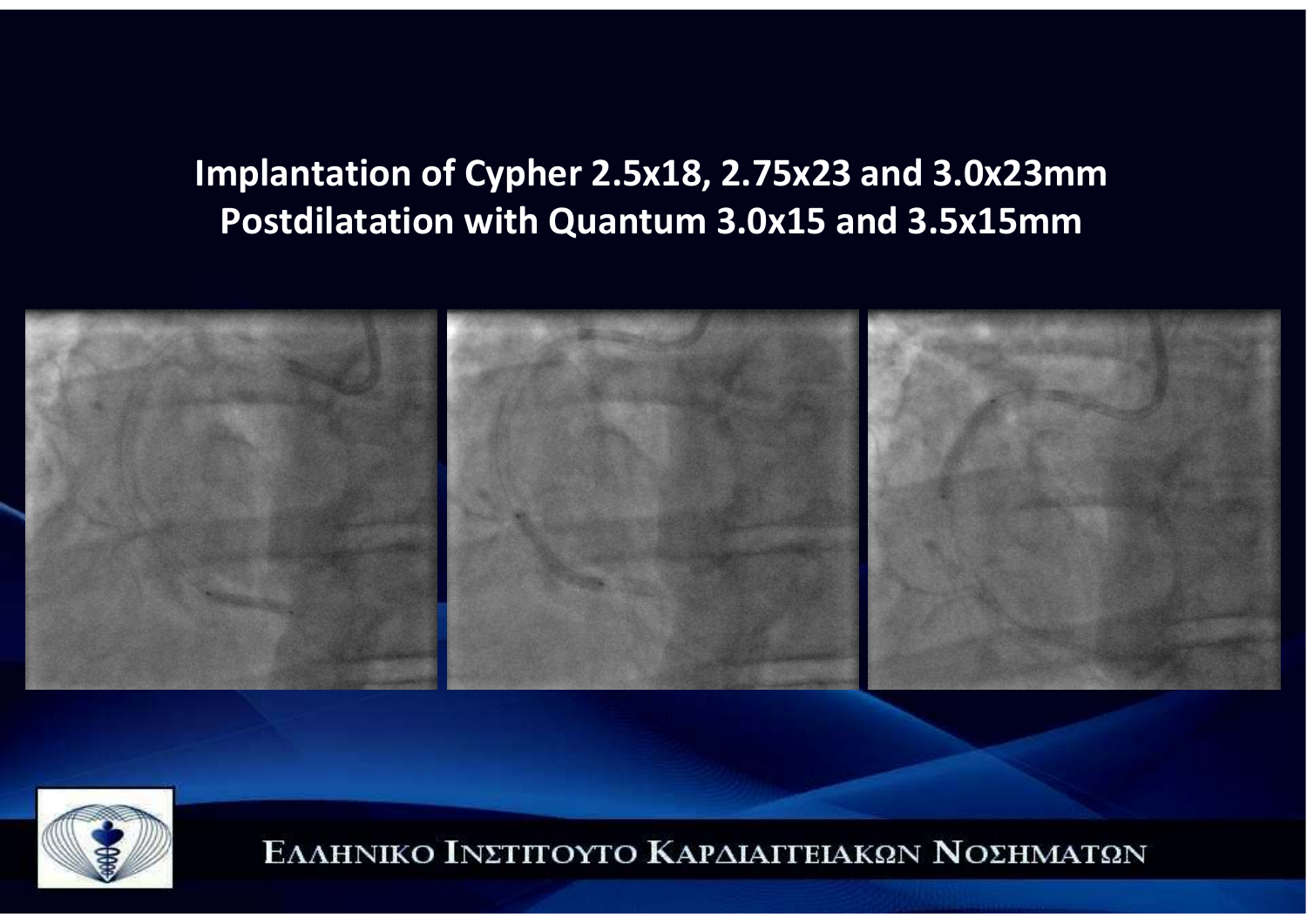### **Implantation of Cypher 2.5x18, 2.75x23 and 3.0x23mmPostdilatation with Quantum 3.0x15 and 3.5x15mm**

![](_page_11_Picture_1.jpeg)

![](_page_11_Picture_2.jpeg)